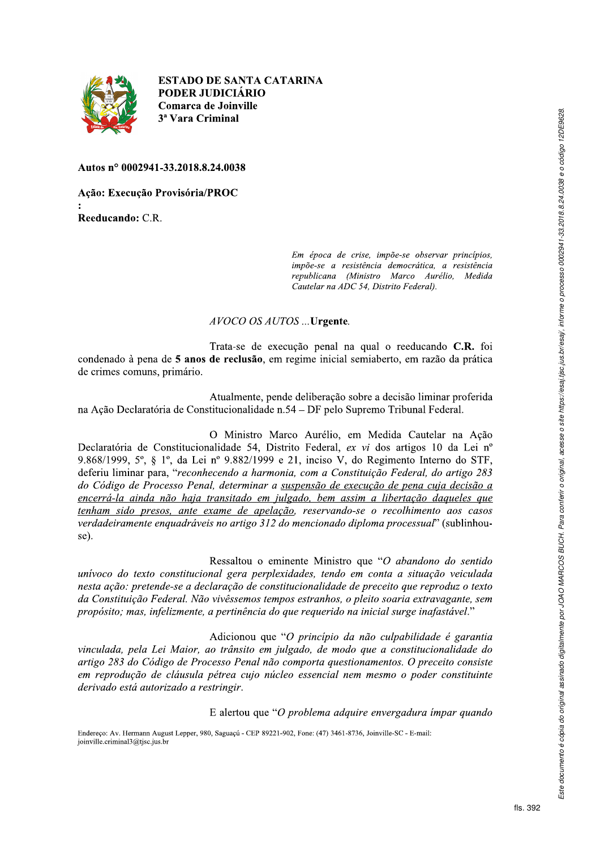

**ESTADO DE SANTA CATARINA** PODER JUDICIÁRIO Comarca de Joinville 3<sup>ª</sup> Vara Criminal

Autos nº 0002941-33.2018.8.24.0038

Ação: Execução Provisória/PROC Reeducando: C.R.

> Em época de crise, impõe-se observar princípios, impõe-se a resistência democrática, a resistência republicana (Ministro Marco Aurélio, Medida Cautelar na ADC 54. Distrito Federal).

## AVOCO OS AUTOS ... Urgente.

Trata-se de execução penal na qual o reeducando C.R. foi condenado à pena de 5 anos de reclusão, em regime inicial semiaberto, em razão da prática de crimes comuns, primário.

Atualmente, pende deliberação sobre a decisão liminar proferida na Ação Declaratória de Constitucionalidade n.54 – DF pelo Supremo Tribunal Federal.

O Ministro Marco Aurélio, em Medida Cautelar na Ação Declaratória de Constitucionalidade 54, Distrito Federal, ex vi dos artigos 10 da Lei nº 9.868/1999,  $5^\circ$ ,  $\frac{8}{1^\circ}$ , da Lei nº 9.882/1999 e 21, inciso V, do Regimento Interno do STF, deferiu liminar para, "reconhecendo a harmonia, com a Constituição Federal, do artigo 283 do Código de Processo Penal, determinar a suspensão de execução de pena cuja decisão a encerrá-la ainda não haja transitado em julgado, bem assim a libertação daqueles que tenham sido presos, ante exame de apelação, reservando-se o recolhimento aos casos verdadeiramente enquadráveis no artigo 312 do mencionado diploma processual" (sublinhouse).

Ressaltou o eminente Ministro que "O abandono do sentido unívoco do texto constitucional gera perplexidades, tendo em conta a situação veiculada nesta ação: pretende-se a declaração de constitucionalidade de preceito que reproduz o texto da Constituição Federal. Não vivêssemos tempos estranhos, o pleito soaria extravagante, sem propósito; mas, infelizmente, a pertinência do que requerido na inicial surge inafastável."

Adicionou que "O princípio da não culpabilidade é garantia vinculada, pela Lei Maior, ao trânsito em julgado, de modo que a constitucionalidade do artigo 283 do Código de Processo Penal não comporta questionamentos. O preceito consiste em reprodução de cláusula pétrea cujo núcleo essencial nem mesmo o poder constituinte derivado está autorizado a restringir.

E alertou que "O problema adquire envergadura impar quando

Endereço: Av. Hermann August Lepper, 980, Saguaçú - CEP 89221-902, Fone: (47) 3461-8736, Joinville-SC - E-mail: joinville.criminal3@tjsc.jus.br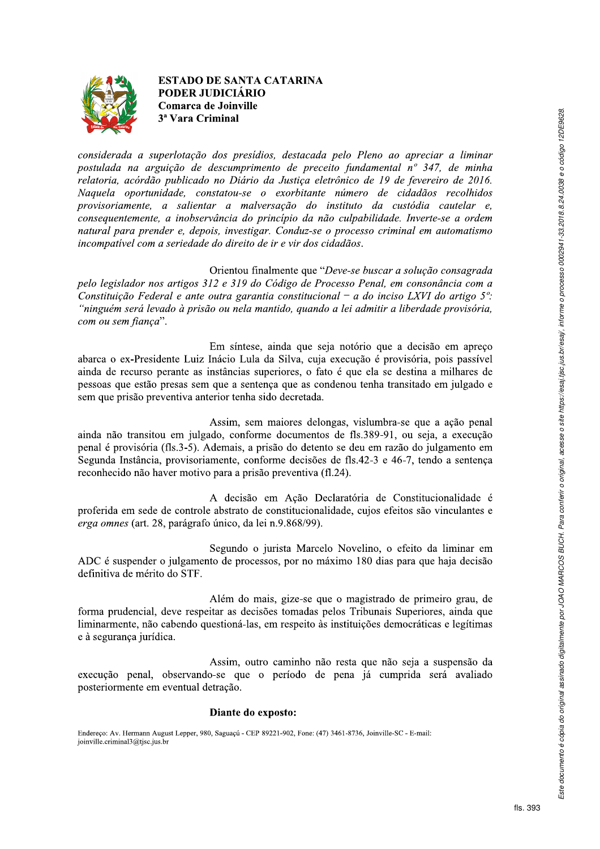

**ESTADO DE SANTA CATARINA** PODER JUDICIÁRIO Comarca de Joinville 3<sup>ª</sup> Vara Criminal

considerada a superlotação dos presídios, destacada pelo Pleno ao apreciar a liminar postulada na arguição de descumprimento de preceito fundamental nº 347, de minha relatoria, acórdão publicado no Diário da Justiça eletrônico de 19 de fevereiro de 2016. Naquela oportunidade, constatou-se o exorbitante número de cidadãos recolhidos provisoriamente, a salientar a malversação do instituto da custódia cautelar e, consequentemente, a inobservância do princípio da não culpabilidade. Inverte-se a ordem natural para prender e, depois, investigar. Conduz-se o processo criminal em automatismo incompativel com a seriedade do direito de ir e vir dos cidadãos.

Orientou finalmente que "Deve-se buscar a solução consagrada pelo legislador nos artigos 312 e 319 do Código de Processo Penal, em consonância com a Constituição Federal e ante outra garantia constitucional – a do inciso LXVI do artigo  $5^\circ$ . "ninguém será levado à prisão ou nela mantido, quando a lei admitir a liberdade provisória, com ou sem fiança".

Em síntese, ainda que seja notório que a decisão em apreço abarca o ex-Presidente Luiz Inácio Lula da Silva, cuja execução é provisória, pois passível ainda de recurso perante as instâncias superiores, o fato é que ela se destina a milhares de pessoas que estão presas sem que a sentença que as condenou tenha transitado em julgado e sem que prisão preventiva anterior tenha sido decretada.

Assim, sem maiores delongas, vislumbra-se que a ação penal ainda não transitou em julgado, conforme documentos de fls.389-91, ou seja, a execução penal é provisória (fls.3-5). Ademais, a prisão do detento se deu em razão do julgamento em Segunda Instância, provisoriamente, conforme decisões de fls.42-3 e 46-7, tendo a sentenca reconhecido não haver motivo para a prisão preventiva (fl.24).

A decisão em Ação Declaratória de Constitucionalidade é proferida em sede de controle abstrato de constitucionalidade, cujos efeitos são vinculantes e erga omnes (art. 28, parágrafo único, da lei n.9.868/99).

Segundo o jurista Marcelo Novelino, o efeito da liminar em ADC é suspender o julgamento de processos, por no máximo 180 dias para que haja decisão definitiva de mérito do STF.

Além do mais, gize-se que o magistrado de primeiro grau, de forma prudencial, deve respeitar as decisões tomadas pelos Tribunais Superiores, ainda que liminarmente, não cabendo questioná-las, em respeito às instituições democráticas e legítimas e à segurança jurídica.

Assim, outro caminho não resta que não seja a suspensão da execução penal, observando-se que o período de pena já cumprida será avaliado posteriormente em eventual detração.

## Diante do exposto:

Endereço: Av. Hermann August Lepper, 980, Saguaçú - CEP 89221-902, Fone: (47) 3461-8736, Joinville-SC - E-mail: joinville.criminal3@tjsc.jus.br